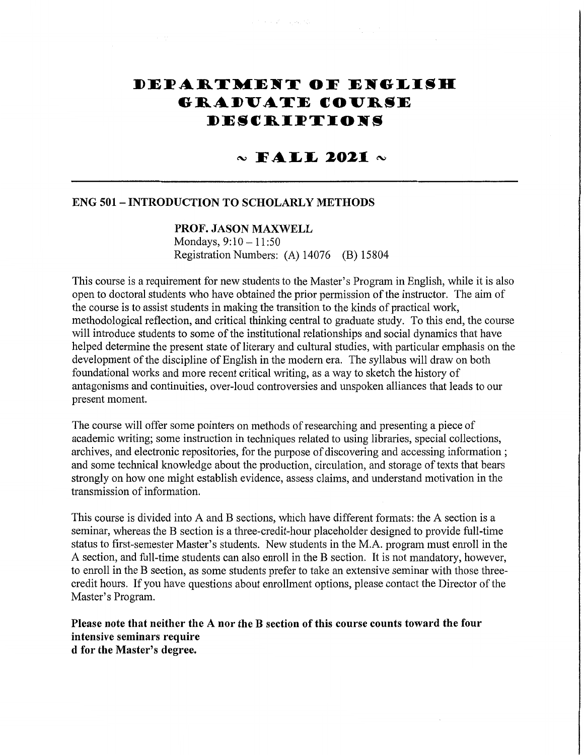# DEPARTMENT OF ENGLISH **GRADUATE COURSE** DESCRIPTIONS

# $\sim$  FALL 2021  $\sim$

# **ENG 501 - INTRODUCTION TO SCHOLARLY METHODS**

## PROF. JASON MAXWELL

Mondays,  $9:10 - 11:50$ Registration Numbers: (A) 14076 (B) 15804

This course is a requirement for new students to the Master's Program in English, while it is also open to doctoral students who have obtained the prior permission of the instructor. The aim of the course is to assist students in making the transition to the kinds of practical work, methodological reflection, and critical thinking central to graduate study. To this end, the course will introduce students to some of the institutional relationships and social dynamics that have helped determine the present state of literary and cultural studies, with particular emphasis on the development of the discipline of English in the modern era. The syllabus will draw on both foundational works and more recent critical writing, as a way to sketch the history of antagonisms and continuities, over-loud controversies and unspoken alliances that leads to our present moment.

The course will offer some pointers on methods of researching and presenting a piece of academic writing; some instruction in techniques related to using libraries, special collections, archives, and electronic repositories, for the purpose of discovering and accessing information: and some technical knowledge about the production, circulation, and storage of texts that bears strongly on how one might establish evidence, assess claims, and understand motivation in the transmission of information.

This course is divided into A and B sections, which have different formats: the A section is a seminar, whereas the B section is a three-credit-hour placeholder designed to provide full-time status to first-semester Master's students. New students in the M.A. program must enroll in the A section, and full-time students can also enroll in the B section. It is not mandatory, however, to enroll in the B section, as some students prefer to take an extensive seminar with those threecredit hours. If you have questions about enrollment options, please contact the Director of the Master's Program.

Please note that neither the A nor the B section of this course counts toward the four intensive seminars require d for the Master's degree.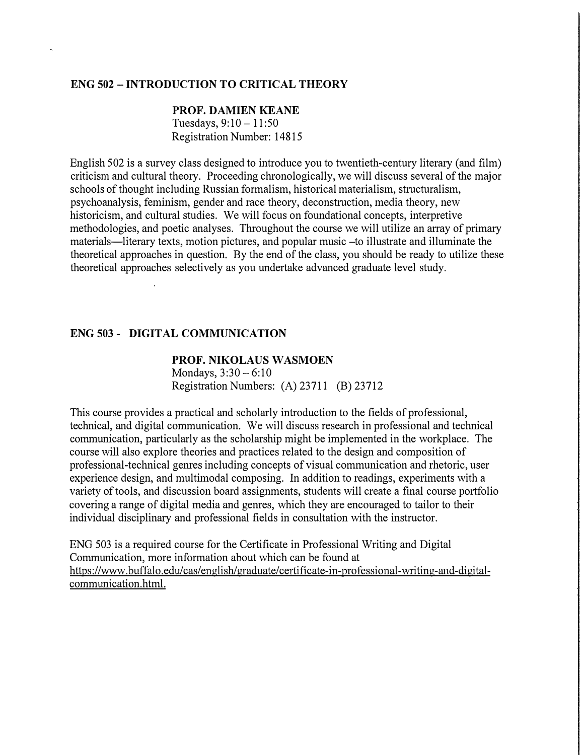## **ENG 502 -INTRODUCTION TO CRITICAL THEORY**

## **PROF. DAMIEN KEANE**  Tuesdays,  $9:10 - 11:50$ Registration Number: 14815

English 502 is a survey class designed to introduce you to twentieth-century literary (and film) criticism and cultural theory. Proceeding chronologically, we will discuss several of the major schools of thought including Russian formalism, historical materialism, structuralism, psychoanalysis, feminism, gender and race theory, deconstruction, media theory, new historicism, and cultural studies. We will focus on foundational concepts, interpretive methodologies, and poetic analyses. Throughout the course we will utilize an array of primary materials—literary texts, motion pictures, and popular music -to illustrate and illuminate the theoretical approaches in question. By the end of the class, you should be ready to utilize these theoretical approaches selectively as you undertake advanced graduate level study.

#### **ENG 503 - DIGITAL COMMUNICATION**

#### **PROF. NIKOLAUS WASMOEN**

Mondays,  $3:30 - 6:10$ Registration Numbers: (A) 23711 (B) 23712

This course provides a practical and scholarly introduction to the fields of professional, technical, and digital communication. We will discuss research in professional and technical communication, particularly as the scholarship might be implemented in the workplace. The course will also explore theories and practices related to the design and composition of professional-technical genres including concepts of visual communication and rhetoric, user experience design, and multimodal composing. In addition to readings, experiments with a variety of tools, and discussion board assignments, students will create a final course portfolio covering a range of digital media and genres, which they are encouraged to tailor to their individual disciplinary and professional fields in consultation with the instructor.

ENG 503 is a required course for the Certificate in Professional Writing and Digital Communication, more information about which can be found at https://www.buffalo.edu/cas/english/graduate/certificate-in-professional-writing-and-digitalcommunication.html.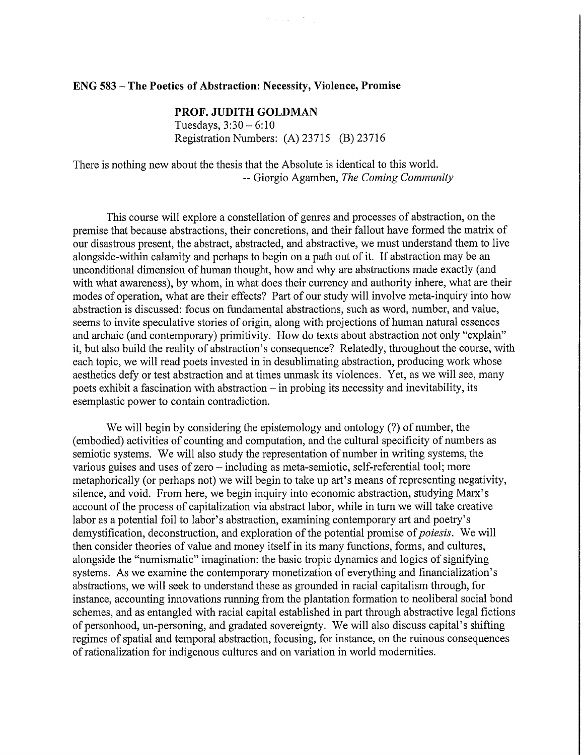#### **ENG 583 - The Poetics of Abstraction: Necessity, Violence, Promise**

## PROF. JUDITH GOLDMAN

Tuesdays,  $3:30 - 6:10$ Registration Numbers: (A) 23715 (B) 23716

There is nothing new about the thesis that the Absolute is identical to this world. -- Giorgio Agamben, The Coming Community

This course will explore a constellation of genres and processes of abstraction, on the premise that because abstractions, their concretions, and their fallout have formed the matrix of our disastrous present, the abstract, abstracted, and abstractive, we must understand them to live alongside-within calamity and perhaps to begin on a path out of it. If abstraction may be an unconditional dimension of human thought, how and why are abstractions made exactly (and with what awareness), by whom, in what does their currency and authority inhere, what are their modes of operation, what are their effects? Part of our study will involve meta-inquiry into how abstraction is discussed: focus on fundamental abstractions, such as word, number, and value, seems to invite speculative stories of origin, along with projections of human natural essences and archaic (and contemporary) primitivity. How do texts about abstraction not only "explain" it, but also build the reality of abstraction's consequence? Relatedly, throughout the course, with each topic, we will read poets invested in in desublimating abstraction, producing work whose aesthetics defy or test abstraction and at times unmask its violences. Yet, as we will see, many poets exhibit a fascination with abstraction – in probing its necessity and inevitability, its esemplastic power to contain contradiction.

We will begin by considering the epistemology and ontology (?) of number, the (embodied) activities of counting and computation, and the cultural specificity of numbers as semiotic systems. We will also study the representation of number in writing systems, the various guises and uses of zero - including as meta-semiotic, self-referential tool; more metaphorically (or perhaps not) we will begin to take up art's means of representing negativity, silence, and void. From here, we begin inquiry into economic abstraction, studying Marx's account of the process of capitalization via abstract labor, while in turn we will take creative labor as a potential foil to labor's abstraction, examining contemporary art and poetry's demystification, deconstruction, and exploration of the potential promise of poiesis. We will then consider theories of value and money itself in its many functions, forms, and cultures, alongside the "numismatic" imagination: the basic tropic dynamics and logics of signifying systems. As we examine the contemporary monetization of everything and financialization's abstractions, we will seek to understand these as grounded in racial capitalism through, for instance, accounting innovations running from the plantation formation to neoliberal social bond schemes, and as entangled with racial capital established in part through abstractive legal fictions of personhood, un-personing, and gradated sovereignty. We will also discuss capital's shifting regimes of spatial and temporal abstraction, focusing, for instance, on the ruinous consequences of rationalization for indigenous cultures and on variation in world modernities.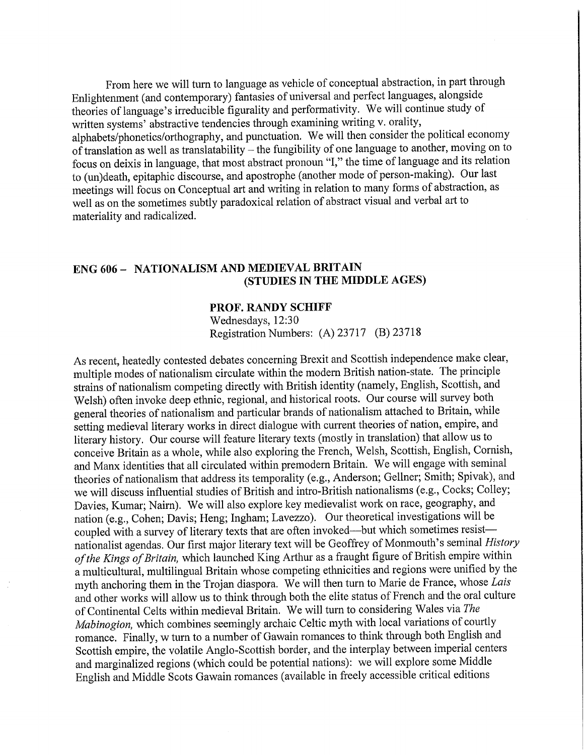From here we will turn to language as vehicle of conceptual abstraction, in part through Enlightenment (and contemporary) fantasies of universal and perfect languages, alongside theories of language's irreducible figurality and performativity. We will continue study of written systems' abstractive tendencies through examining writing v. orality, alphabets/phonetics/orthography, and punctuation. We will then consider the political economy of translation as well as translatability - the fungibility of one language to another, moving on to focus on deixis in language, that most abstract pronoun "I," the time of language and its relation to (un)death, epitaphic discourse, and apostrophe (another mode of person-making). Our last meetings will focus on Conceptual art and writing in relation to many forms of abstraction, as well as on the sometimes subtly paradoxical relation of abstract visual and verbal art to materiality and radicalized.

# **ENG 606 - NATIONALISM AND MEDIEVAL BRITAIN** (STUDIES IN THE MIDDLE AGES)

#### **PROF. RANDY SCHIFF**

Wednesdays, 12:30 Registration Numbers: (A) 23717 (B) 23718

As recent, heatedly contested debates concerning Brexit and Scottish independence make clear, multiple modes of nationalism circulate within the modern British nation-state. The principle strains of nationalism competing directly with British identity (namely, English, Scottish, and Welsh) often invoke deep ethnic, regional, and historical roots. Our course will survey both general theories of nationalism and particular brands of nationalism attached to Britain, while setting medieval literary works in direct dialogue with current theories of nation, empire, and literary history. Our course will feature literary texts (mostly in translation) that allow us to conceive Britain as a whole, while also exploring the French, Welsh, Scottish, English, Cornish, and Manx identities that all circulated within premodern Britain. We will engage with seminal theories of nationalism that address its temporality (e.g., Anderson; Gellner; Smith; Spivak), and we will discuss influential studies of British and intro-British nationalisms (e.g., Cocks; Colley; Davies, Kumar; Nairn). We will also explore key medievalist work on race, geography, and nation (e.g., Cohen; Davis; Heng; Ingham; Lavezzo). Our theoretical investigations will be coupled with a survey of literary texts that are often invoked—but which sometimes resist nationalist agendas. Our first major literary text will be Geoffrey of Monmouth's seminal History of the Kings of Britain, which launched King Arthur as a fraught figure of British empire within a multicultural, multilingual Britain whose competing ethnicities and regions were unified by the myth anchoring them in the Trojan diaspora. We will then turn to Marie de France, whose Lais and other works will allow us to think through both the elite status of French and the oral culture of Continental Celts within medieval Britain. We will turn to considering Wales via The Mabinogion, which combines seemingly archaic Celtic myth with local variations of courtly romance. Finally, w turn to a number of Gawain romances to think through both English and Scottish empire, the volatile Anglo-Scottish border, and the interplay between imperial centers and marginalized regions (which could be potential nations): we will explore some Middle English and Middle Scots Gawain romances (available in freely accessible critical editions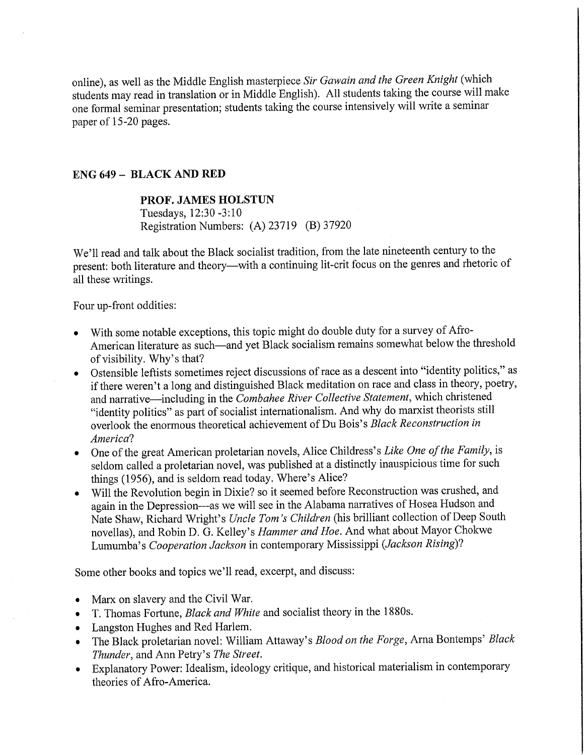online), as well as the Middle English masterpiece Sir Gawain and the Green Knight (which students may read in translation or in Middle English). All students taking the course will make one formal seminar presentation; students taking the course intensively will write a seminar paper of 15-20 pages.

# **ENG 649 - BLACK AND RED**

#### PROF. JAMES HOLSTUN

Tuesdays, 12:30 -3:10 Registration Numbers: (A) 23719 (B) 37920

We'll read and talk about the Black socialist tradition, from the late nineteenth century to the present: both literature and theory-with a continuing lit-crit focus on the genres and rhetoric of all these writings.

Four up-front oddities:

- With some notable exceptions, this topic might do double duty for a survey of Afro-American literature as such—and yet Black socialism remains somewhat below the threshold of visibility. Why's that?
- Ostensible leftists sometimes reject discussions of race as a descent into "identity politics," as if there weren't a long and distinguished Black meditation on race and class in theory, poetry, and narrative—including in the Combahee River Collective Statement, which christened "identity politics" as part of socialist internationalism. And why do marxist theorists still overlook the enormous theoretical achievement of Du Bois's Black Reconstruction in America?
- One of the great American proletarian novels, Alice Childress's Like One of the Family, is seldom called a proletarian novel, was published at a distinctly inauspicious time for such things (1956), and is seldom read today. Where's Alice?
- Will the Revolution begin in Dixie? so it seemed before Reconstruction was crushed, and again in the Depression—as we will see in the Alabama narratives of Hosea Hudson and Nate Shaw, Richard Wright's Uncle Tom's Children (his brilliant collection of Deep South novellas), and Robin D. G. Kelley's Hammer and Hoe. And what about Mayor Chokwe Lumumba's Cooperation Jackson in contemporary Mississippi (Jackson Rising)?

Some other books and topics we'll read, excerpt, and discuss:

- Marx on slavery and the Civil War.
- T. Thomas Fortune, *Black and White* and socialist theory in the 1880s.
- Langston Hughes and Red Harlem.
- The Black proletarian novel: William Attaway's Blood on the Forge, Arna Bontemps' Black  $\bullet$ Thunder, and Ann Petry's The Street.
- Explanatory Power: Idealism, ideology critique, and historical materialism in contemporary theories of Afro-America.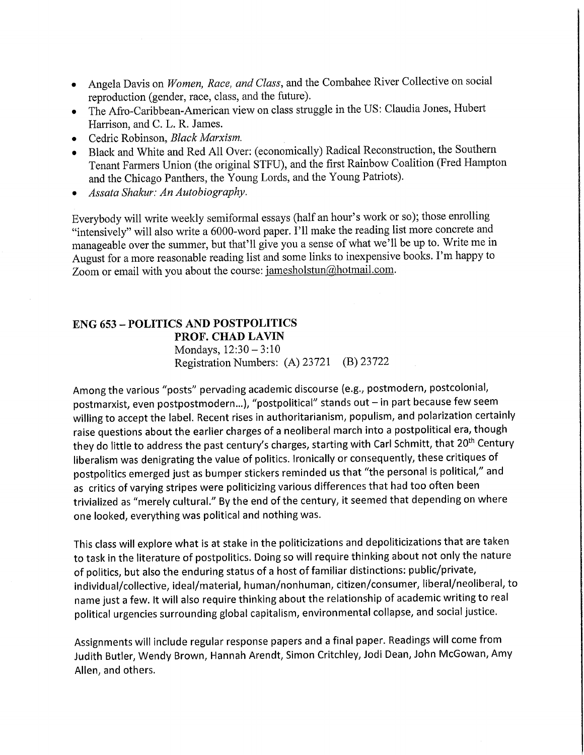- Angela Davis on Women, Race, and Class, and the Combahee River Collective on social reproduction (gender, race, class, and the future).
- The Afro-Caribbean-American view on class struggle in the US: Claudia Jones, Hubert Harrison, and C. L. R. James.
- Cedric Robinson, Black Marxism.
- Black and White and Red All Over: (economically) Radical Reconstruction, the Southern Tenant Farmers Union (the original STFU), and the first Rainbow Coalition (Fred Hampton and the Chicago Panthers, the Young Lords, and the Young Patriots).
- Assata Shakur: An Autobiography.

Everybody will write weekly semiformal essays (half an hour's work or so); those enrolling "intensively" will also write a 6000-word paper. I'll make the reading list more concrete and manageable over the summer, but that'll give you a sense of what we'll be up to. Write me in August for a more reasonable reading list and some links to inexpensive books. I'm happy to Zoom or email with you about the course: jamesholstun@hotmail.com.

## **ENG 653 - POLITICS AND POSTPOLITICS** PROF. CHAD LAVIN Mondays,  $12:30 - 3:10$

Registration Numbers: (A) 23721 (B) 23722

Among the various "posts" pervading academic discourse (e.g., postmodern, postcolonial, postmarxist, even postpostmodern...), "postpolitical" stands out - in part because few seem willing to accept the label. Recent rises in authoritarianism, populism, and polarization certainly raise questions about the earlier charges of a neoliberal march into a postpolitical era, though they do little to address the past century's charges, starting with Carl Schmitt, that 20<sup>th</sup> Century liberalism was denigrating the value of politics. Ironically or consequently, these critiques of postpolitics emerged just as bumper stickers reminded us that "the personal is political," and as critics of varying stripes were politicizing various differences that had too often been trivialized as "merely cultural." By the end of the century, it seemed that depending on where one looked, everything was political and nothing was.

This class will explore what is at stake in the politicizations and depoliticizations that are taken to task in the literature of postpolitics. Doing so will require thinking about not only the nature of politics, but also the enduring status of a host of familiar distinctions: public/private, individual/collective, ideal/material, human/nonhuman, citizen/consumer, liberal/neoliberal, to name just a few. It will also require thinking about the relationship of academic writing to real political urgencies surrounding global capitalism, environmental collapse, and social justice.

Assignments will include regular response papers and a final paper. Readings will come from Judith Butler, Wendy Brown, Hannah Arendt, Simon Critchley, Jodi Dean, John McGowan, Amy Allen, and others.